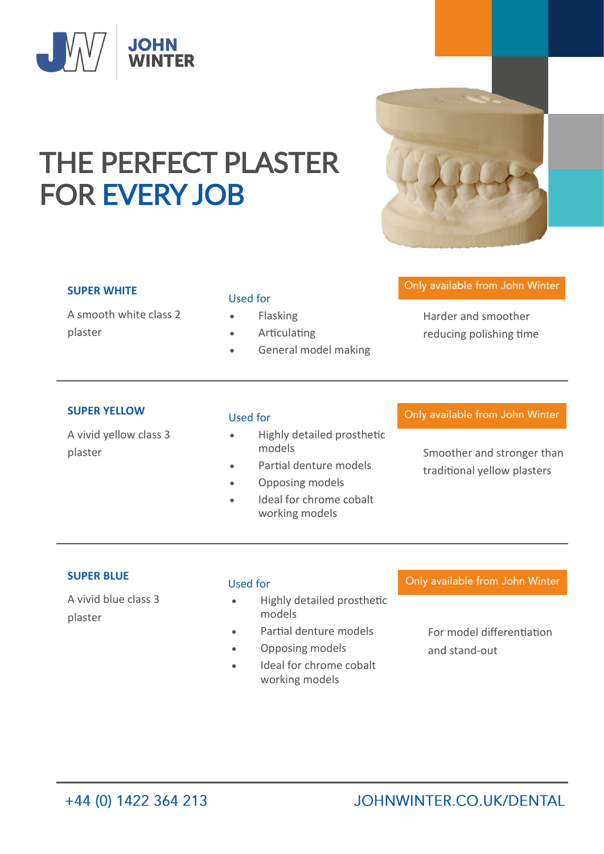

# THE PERFECT PLASTER FOR EVERY JOB

## **SUPER WHITE**

A smooth white class 2 plaster

## Used for

- **Flasking**
- **Articulating**
- General model making

# Only available from John Winter

Harder and smoother reducing polishing time

#### **SUPER YELLOW**

A vivid yellow class 3

#### Used for

- Highly detailed prosthetic models
- Partial denture models
- Opposing models
- Ideal for chrome cobalt working models

Only available from John Winter

plaster models models and stronger than traditional yellow plasters

# **SUPER BLUE**

A vivid blue class 3 plaster

#### Used for

- Highly detailed prosthetic models
- Partial denture models
- Opposing models
- Ideal for chrome cobalt working models

## Only available from John Winter

For model differentiation and stand-out